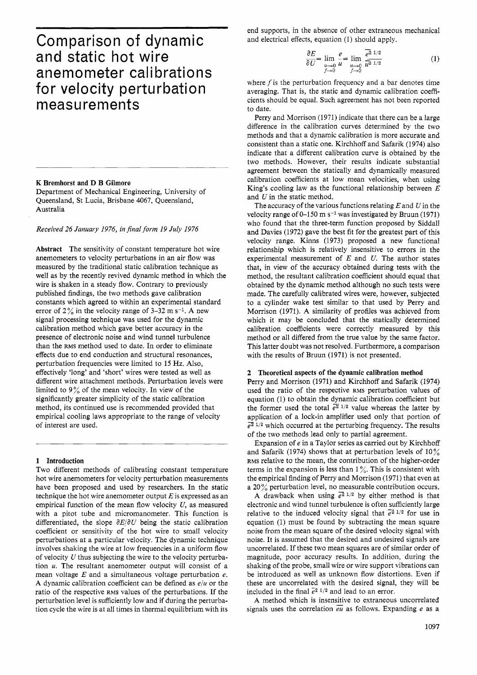# Comparison of dynamic and static hot wire anemometer calibrations for velocity perturbation measurements

#### **K** Bremhorst and **D** B Gilmore

Department of Mechanical Engineering, University of Queensland, St Lucia, Brisbane 4067, Queensland, Australia

#### *Received 26 January 1976, in final form 19 July 1976*

Abstract The sensitivity of constant temperature hot wire anemometers to velocity perturbations in an air flow was measured by the traditional static calibration technique as well as by the recently revived dynamic method in which the wire is shaken in a steady flow. Contrary to previously published findings, the two methods gave calibration constants which agreed to within an experimental standard error of  $2\%$  in the velocity range of 3-32 m s<sup>-1</sup>. A new signal processing technique was used for the dynamic calibration method which gave better accuracy in the presence of electronic noise and wind tunnel turbulence than the RMS method used to date. In order to eliminate effects due to end conduction and structural resonances, perturbation frequencies were limited to 15 Hz. Also, effectively 'long' and 'short' wires were tested as well as different wire attachment methods. Perturbation levels were limited to  $9\%$  of the mean velocity. In view of the significantly greater simplicity of the static calibration method, its continued use is recommended provided that empirical cooling laws appropriate to the range of velocity of interest are used.

#### **1** Introduction

Two different methods of calibrating constant temperature hot wire anemometers for velocity perturbation measurements have been proposed and used by researchers. In the static technique the hot wire anemometer output *E* is expressed as an empirical function of the mean flow velocity *U,* as measured with a pitot tube and micromanometer. This function is differentiated, the slope  $\partial E/\partial U$  being the static calibration coefficient or sensitivity of the hot wire to small velocity perturbations at a particular velocity. The dynamic technique involves shaking the wire at low frequencies in a uniform flow of velocity *U* thus subjecting the wire to the velocity perturbation *U.* The resultant anemometer output will consist of a mean voltage *E* and a simultaneous voltage perturbation *e.*  A dynamic calibration coefficient can be defined as *eju* or the ratio of the respective RMS values of the perturbations. If the perturbation level is sufficiently low and if during the perturbation cycle the wire is at all times in thermal equilibrium with its end supports, in the absence of other extraneous mechanical and electrical effects, equation (1) should apply.

$$
\frac{\partial E}{\partial U} = \lim_{\substack{u \to 0 \\ t \to 0}} \frac{e}{u} = \lim_{\substack{u \to 0 \\ t \to 0}} \frac{\overline{e^2}^{1/2}}{\overline{u^2}^{1/2}}
$$
(1)

where  $f$  is the perturbation frequency and a bar denotes time averaging. That is, the static and dynamic calibration coefficients should be equal. Such agreement has not been reported to date.

Perry and Morrison (1971) indicate that there can be a large difference in the calibration curves determined by the two methods and that a dynamic calibration is more accurate and consistent than a static one. Kirchhoff and Safarik (1974) also indicate that a different calibration curve is obtained by the two methods. However, their results indicate substantial agreement between the statically and dynamically measured calibration coefficients at low mean velocities, when using King's cooling law as the functional relationship between *E*  and *U* in the static method.

The accuracy of the various functions relating *E* and *U* in the velocity range of  $0-150$  m s<sup>-1</sup> was investigated by Bruun (1971) who found that the three-term function proposed by Siddall and Davies (1972) gave the best fit for the greatest part of this velocity range. Kinns (1973) proposed a new functional relationship which is relatively insensitive to errors in the experimental measurement of *E* and *U.* The author states that, in view of the accuracy obtained during tests with the method, the resultant calibration coefficient should equal that obtained by the dynamic method although no such tests were made. The carefully calibrated wires were, however, subjected to a cylinder wake test similar to that used by Perry and Morrison (1971). A similarity of profiles was achieved from which it may be concluded that the statically determined calibration coefficients were correctly measured by this method or all differed from the true value by the same factor. This latter doubt was not resolved. Furthermore, a comparison with the results of Bruun (1971) is not presented.

### **2** Theoretical aspects **of** the dynamic calibration method

Perry and Morrison (1971) and Kirchhoff and Safarik (1974) used the ratio of the respective RMS perturbation values of equation (1) to obtain the dynamic calibration coefficient but the former used the total  $e^{2i}$  <sup>1/2</sup> value whereas the latter by application of a lock-in amplifier used only that portion of  $\overline{e^2}$ <sup>1/2</sup> which occurred at the perturbing frequency. The results of the two methods lead only to partial agreement.

Expansion of e in a Taylor series as carried out by Kirchhoff and Safarik (1974) shows that at perturbation levels of  $10\%$ **RMS** relative to the mean, the contribution of the higher-order terms in the expansion is less than  $1\%$ . This is consistent with the empirical finding of Perry and Morrison (1971) that even at a 20% perturbation level, no measurable contribution occurs.

 $\Delta \sigma$  between the method is that  $\Delta \sigma$  drawback when using  $\bar{e}^{\bar{2} 1/2}$  by either method is that electronic and wind tunnel turbulence is often sufficiently large relative to the induced velocity signal that  $\overline{e}^{\overline{2} 1/2}$  for use in equation (1) must be found by subtracting the mean square noise from the mean square of the desired velocity signal with noise. It is assumed that the desired and undesired signals are uncorrelated. If these two mean squares are of similar order of magnitude, poor accuracy results. In addition, during the shaking of the probe, small wire or wire support vibrations can be introduced as well as unknown flow distortions. Even if these are uncorrelated with the desired signal, they will be included in the final  $\overline{e^2}$  <sup>1/2</sup> and lead to an error.

**A** method which is insensitive to extraneous uncorrelated signals uses the correlation  $\overline{eu}$  as follows. Expanding  $e$  as a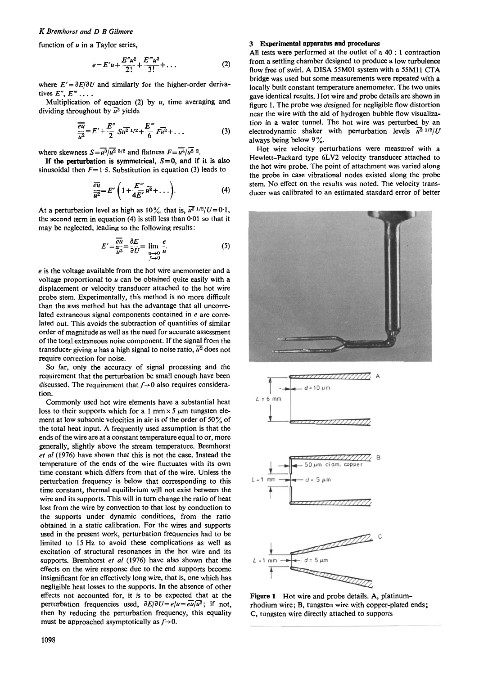# *K Bremhorst and D B Gilmore*

function of *u* in a Taylor series.

$$
e = E'u + \frac{E''u^2}{2!} + \frac{E'''u^3}{3!} + \dots
$$
 (2)

where  $E' = \partial E/\partial U$  and similarly for the higher-order derivatives  $E'', E''' \dots$ 

Multiplication of equation  $(2)$  by  $u$ , time averaging and dividing throughout by  $\overline{u^2}$  yields

$$
\frac{\overline{eu}}{\overline{u^2}} = E' + \frac{E''}{2} S \overline{u^2}^{1/2} + \frac{E'''}{6} F \overline{u^2} + \dots \tag{3}
$$

where skewness  $S = \overline{u^3}/\overline{u^2}$  3/2 and flatness  $F = \overline{u^4}/\overline{u^2}$  2.

sinusoidal then  $F=1.5$ . Substitution in equation (3) leads to If the perturbation is symmetrical,  $S=0$ , and if it is also

$$
\frac{\overline{eu}}{\overline{u^2}} = E'\left(1 + \frac{E'''}{4E'}\overline{u^2} + \dots\right). \tag{4}
$$

At a perturbation level as high as  $10\%$ , that is,  $\overline{u^2}$   $1/2/U=0.1$ , the second term in equation **(4)** is still less than 0.01 so that it may be neglected, leading to the following results:

$$
E' = \frac{\overline{eu}}{\overline{u}^2} = \frac{\partial E}{\partial U} = \lim_{\substack{u \to 0 \\ j \to 0}} \frac{e}{u}
$$
 (5)

*e* is the voltage available from the hot wire anemometer and a voltage proportional to *u* can be obtained quite easily with a displacement or velocity transducer attached to the hot wire probe stem. Experimentally, this method is no more difficult than the **RMS** method but has the advantage that all uncorrelated extraneous signal components contained in *e* are correlated out. This avoids the subtraction of quantities of similar order of magnitude as well as the need for accurate assessment of the total extraneous noise component. If the signal from the transducer giving *u* has a high signal to noise ratio,  $\overline{u^2}$  does not require correction for noise.

So far, only the accuracy of signal processing and the requirement that the perturbation be small enough have been discussed. The requirement that  $f \rightarrow 0$  also requires consideration.

Commonly used hot wire elements have a substantial heat loss to their supports which for a 1 mm  $\times$  5  $\mu$ m tungsten element at low subsonic velocities in air is of the order of *50%* of the total heat input. A frequently used assumption is that the ends of the wire are at a constant temperature equal to or, more generally, slightly above the stream temperature. Bremhorst *et a1* (1976) have shown that this is not the case. Instead the temperature of the ends of the wire fluctuates with its own time constant which differs from that of the wire. Unless the perturbation frequency is below that corresponding to this time constant, thermal equilibrium will not exist between the wire and its supports. This will in turn change the ratio of heat lost from the wire by convection to that lost by conduction to the supports under dynamic conditions, from the ratio obtained in a static calibration. For the wires and supports used in the present work, perturbation frequencies had to be limited to **15** Hz to avoid these complications as well as excitation of structural resonances in the hot wire and its supports. Bremhorst et *al* (1976) have also shown that the effects on the wire response due to the end supports become insignificant for an effectively long wire, that is, one which has negligible heat losses to the supports. In the absence of other effects not accounted for, it is to be expected that at the perturbation frequencies used,  $\partial E/\partial U = e/u = e\overline{u}/u^2$ ; if not, then by reducing the perturbation frequency, this equality must be approached asymptotically as  $f \rightarrow 0$ .

# **3 Experimental apparatus and procedures**

All tests were performed at the outlet of a **40** : **1** contraction from a settling chamber designed to produce a low turbulence flow free of swirl. A DISA 55M01 system with a 55M11 CTA bridge was used but some measurements were repeated with a locally built constant temperature anemometer. The two units gave identical results. Hot wire and probe details are shown in figure 1. The probe was designed for negligible flow distortion near the wire with the aid of hydrogen bubble flow visualization in a water tunnel. The hot wire was perturbed by an electrodynamic shaker with perturbation levels  $\overline{u^2}$  <sup>1/2</sup>/U always being below 9%.

Hot wire velocity perturbations were measured with a Hewlett-Packard type 6LV2 velocity transducer attached to the hot wire probe. The point of attachment was varied along the probe in case vibrational nodes existed along the probe stem. No effect on the results was noted. The velocity transducer was calibrated to an estimated standard error of better





**Figure 1** Hot wire and probe details. A, platinumrhodium wire; B, tungsten wire with copper-plated ends; C, tungsten wire directly attached to supports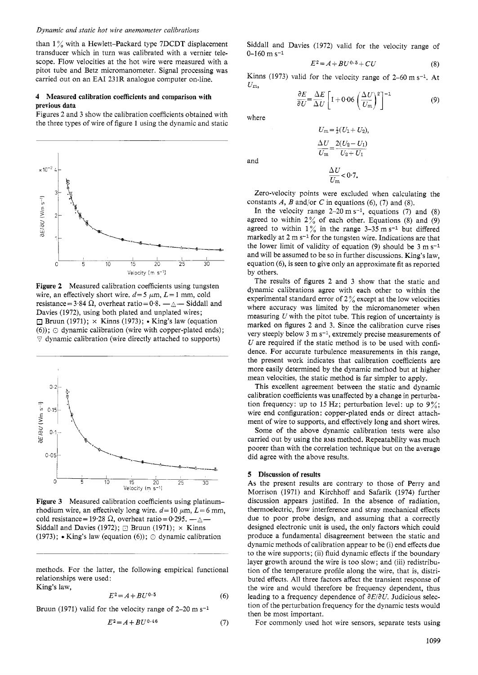#### *Dynamic and static hot wive anemometer calibrations*

than  $1\%$  with a Hewlett-Packard type 7DCDT displacement transducer which in turn was calibrated with a vernier telescope. Flow velocities at the hot wire were measured with a pitot tube and Betz micromanometer. Signal processing was carried out on an EA1 231R analogue computer on-line.

## **4** Measured calibration coefficients and comparison **with**  previous data

Figures 2 and 3 show the calibration coefficients obtained with the three types of wire of figure 1 using the dynamic and static



Figure **2** Measured calibration coefficients using tungsten wire, an effectively short wire.  $d=5 \mu m$ ,  $L=1 \text{ mm}$ , cold resistance =  $3.84 \Omega$ , overheat ratio =  $0.8. -A$ - Siddall and Davies (1972), using both plated and unplated wires;  $\Box$  Bruun (1971);  $\times$  Kinns (1973);  $\bullet$  King's law (equation  $(6)$ ;  $\odot$  dynamic calibration (wire with copper-plated ends);  $\triangledown$  dynamic calibration (wire directly attached to supports)



Figure **3** Measured calibration coefficients using platinumrhodium wire, an effectively long wire.  $d=10 \mu m$ ,  $L=6 \text{ mm}$ , cold resistance = 19.28  $\Omega$ , overheat ratio = 0.295. - $\Delta$ -Siddall and Davies (1972);  $\Box$  Bruun (1971);  $\times$  Kinns (1973); King's law (equation (6)); *0* dynamic calibration

methods. For the latter, the following empirical functional relationships were used :

King's law,

$$
E^2 = A + BU^{0.5}
$$
 (6)

Bruun (1971) valid for the velocity range of 2-20 m s<sup>-1</sup>

$$
E^2 = A + BU^{0.46} \tag{7}
$$

Siddall and Davies (1972) valid for the velocity range of  $0-160 \text{ m s}^{-1}$   $E^2 = A + BU^{0.5} + CU$  (8)  $0-160$  m s<sup>-1</sup>

$$
E^2 = A + BU^{0.5} + CU \tag{8}
$$

Kinns (1973) valid for the velocity range of  $2-60$  m s<sup>-1</sup>. At  $U_m$ ,

$$
\frac{\partial E}{\partial U} = \frac{\Delta E}{\Delta U} \left[ 1 + 0.06 \left( \frac{\Delta U}{U_m} \right)^2 \right]^{-1} \tag{9}
$$

where

and

$$
\frac{\Delta U}{U_{\rm m}} = \frac{2(U_2 - U_1)}{U_2 + U_1}
$$

Zero-velocity points were excluded when calculating the constants  $\hat{A}$ ,  $\hat{B}$  and/or  $\hat{C}$  in equations (6), (7) and (8).

 $\frac{\Delta U}{U_m} < 0.7.$ 

In the velocity range  $2-20 \text{ m s}^{-1}$ , equations (7) and (8) agreed to within  $2\%$  of each other. Equations (8) and (9) agreed to within  $1\%$  in the range 3-35 m s<sup>-1</sup> but differed markedly at 2 m s<sup>-1</sup> for the tungsten wire. Indications are that the lower limit of validity of equation (9) should be 3 m *s-1*  and will be assumed to be so in further discussions. King's law, equation (6), is seen to give only an approximate fit as reported by others.

The results of figures 2 and 3 show that the static and dynamic calibrations agree with each other to within the experimental standard error of  $2\%$  except at the low velocities where accuracy was limited by the micromanometer when measuring *U* with the pitot tube. This region of uncertainty is marked on figures 2 and 3. Since the calibration curve rises very steeply below 3 m s<sup>-1</sup>, extremely precise measurements of *U* are required if the static method is to be used with confidence. For accurate turbulence measurements in this range, the present work indicates that calibration coefficients are more easily determined by the dynamic method but at higher mean velocities, the static method is far simpler to apply.

This excellent agreement between the static and dynamic calibration coefficients was unaffected by a change in perturbation frequency: up to 15 **Hz;** perturbation level: up to 9%; wire end configuration: copper-plated ends or direct attachment of wire to supports, and effectively long and short wires.

Some of the above dynamic calibration tests were also carried out by using the **RMS** method. Repeatability was much poorer than with the correlation technique but on the average did agree with the above results.

#### **5** Discussion **of** results

**As** the present results are contrary to those of Perry and Morrison (1971) and Kirchhoff and Safarik (1974) further discussion appears justified. In the absence of radiation, thermoelectric, flow interference and stray mechanical effects due to poor probe design, and assuming that a correctly designed electronic unit is used, the only factors which could produce a fundamental disagreement between the static and dynamic methods of calibration appear to be (i) end effects due to the wire supports; (ii) fluid dynamic effects if the boundary layer growth around the wire is too slow; and (iii) redistribution of the temperature profile along the wire, that is, distributed effects. All three factors affect the transient response of the wire and would therefore be frequency dependent, thus leading to a frequency dependence of *aEiaU.* Judicious selection of the perturbation frequency for the dynamic tests would then be most important.

For commonly used hot wire sensors, separate tests using